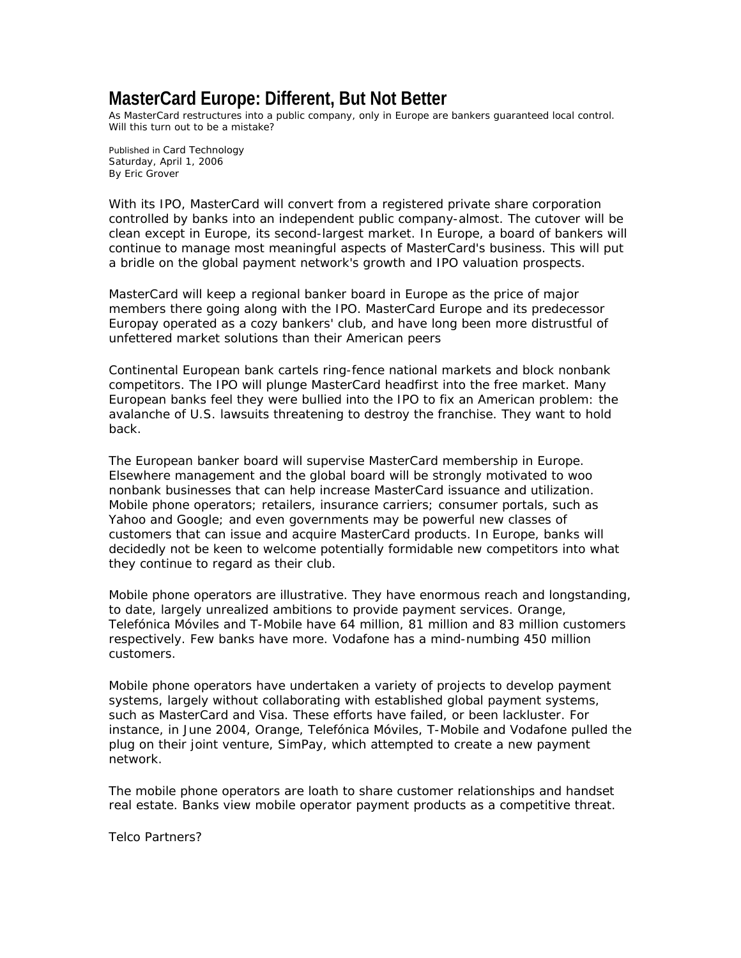## **MasterCard Europe: Different, But Not Better**

*As MasterCard restructures into a public company, only in Europe are bankers guaranteed local control. Will this turn out to be a mistake?*

Published in *Card Technology*  Saturday, April 1, 2006 By Eric Grover

With its IPO, MasterCard will convert from a registered private share corporation controlled by banks into an independent public company-almost. The cutover will be clean except in Europe, its second-largest market. In Europe, a board of bankers will continue to manage most meaningful aspects of MasterCard's business. This will put a bridle on the global payment network's growth and IPO valuation prospects.

MasterCard will keep a regional banker board in Europe as the price of major members there going along with the IPO. MasterCard Europe and its predecessor Europay operated as a cozy bankers' club, and have long been more distrustful of unfettered market solutions than their American peers

Continental European bank cartels ring-fence national markets and block nonbank competitors. The IPO will plunge MasterCard headfirst into the free market. Many European banks feel they were bullied into the IPO to fix an American problem: the avalanche of U.S. lawsuits threatening to destroy the franchise. They want to hold back.

The European banker board will supervise MasterCard membership in Europe. Elsewhere management and the global board will be strongly motivated to woo nonbank businesses that can help increase MasterCard issuance and utilization. Mobile phone operators; retailers, insurance carriers; consumer portals, such as Yahoo and Google; and even governments may be powerful new classes of customers that can issue and acquire MasterCard products. In Europe, banks will decidedly not be keen to welcome potentially formidable new competitors into what they continue to regard as their club.

Mobile phone operators are illustrative. They have enormous reach and longstanding, to date, largely unrealized ambitions to provide payment services. Orange, Telefónica Móviles and T-Mobile have 64 million, 81 million and 83 million customers respectively. Few banks have more. Vodafone has a mind-numbing 450 million customers.

Mobile phone operators have undertaken a variety of projects to develop payment systems, largely without collaborating with established global payment systems, such as MasterCard and Visa. These efforts have failed, or been lackluster. For instance, in June 2004, Orange, Telefónica Móviles, T-Mobile and Vodafone pulled the plug on their joint venture, SimPay, which attempted to create a new payment network.

The mobile phone operators are loath to share customer relationships and handset real estate. Banks view mobile operator payment products as a competitive threat.

Telco Partners?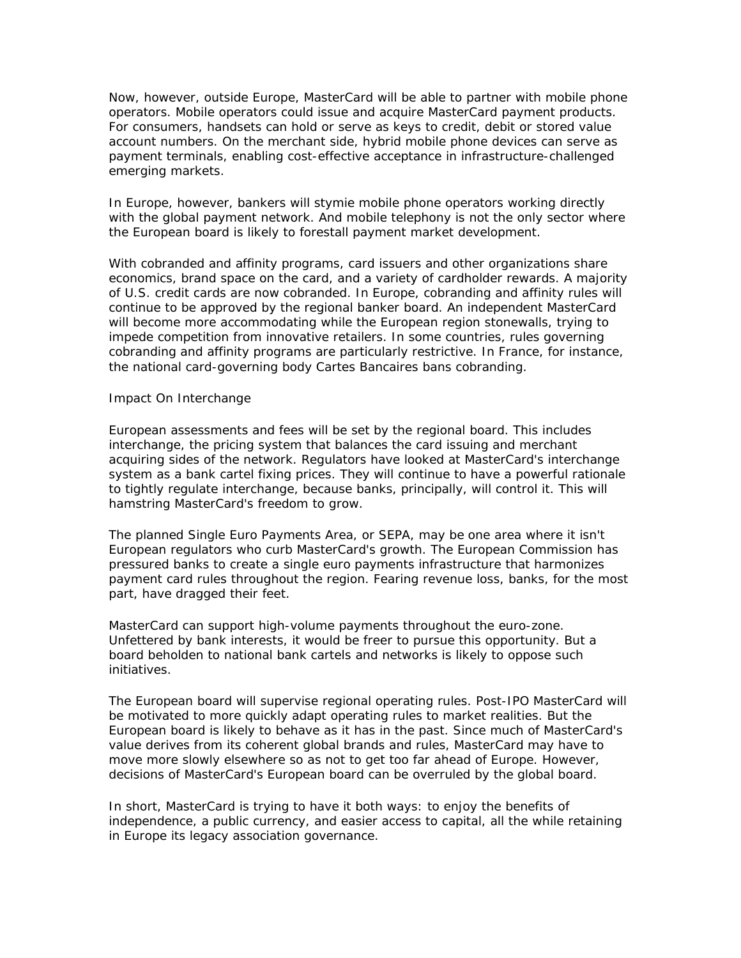Now, however, outside Europe, MasterCard will be able to partner with mobile phone operators. Mobile operators could issue and acquire MasterCard payment products. For consumers, handsets can hold or serve as keys to credit, debit or stored value account numbers. On the merchant side, hybrid mobile phone devices can serve as payment terminals, enabling cost-effective acceptance in infrastructure-challenged emerging markets.

In Europe, however, bankers will stymie mobile phone operators working directly with the global payment network. And mobile telephony is not the only sector where the European board is likely to forestall payment market development.

With cobranded and affinity programs, card issuers and other organizations share economics, brand space on the card, and a variety of cardholder rewards. A majority of U.S. credit cards are now cobranded. In Europe, cobranding and affinity rules will continue to be approved by the regional banker board. An independent MasterCard will become more accommodating while the European region stonewalls, trying to impede competition from innovative retailers. In some countries, rules governing cobranding and affinity programs are particularly restrictive. In France, for instance, the national card-governing body Cartes Bancaires bans cobranding.

## Impact On Interchange

European assessments and fees will be set by the regional board. This includes interchange, the pricing system that balances the card issuing and merchant acquiring sides of the network. Regulators have looked at MasterCard's interchange system as a bank cartel fixing prices. They will continue to have a powerful rationale to tightly regulate interchange, because banks, principally, will control it. This will hamstring MasterCard's freedom to grow.

The planned Single Euro Payments Area, or SEPA, may be one area where it isn't European regulators who curb MasterCard's growth. The European Commission has pressured banks to create a single euro payments infrastructure that harmonizes payment card rules throughout the region. Fearing revenue loss, banks, for the most part, have dragged their feet.

MasterCard can support high-volume payments throughout the euro-zone. Unfettered by bank interests, it would be freer to pursue this opportunity. But a board beholden to national bank cartels and networks is likely to oppose such initiatives.

The European board will supervise regional operating rules. Post-IPO MasterCard will be motivated to more quickly adapt operating rules to market realities. But the European board is likely to behave as it has in the past. Since much of MasterCard's value derives from its coherent global brands and rules, MasterCard may have to move more slowly elsewhere so as not to get too far ahead of Europe. However, decisions of MasterCard's European board can be overruled by the global board.

In short, MasterCard is trying to have it both ways: to enjoy the benefits of independence, a public currency, and easier access to capital, all the while retaining in Europe its legacy association governance.